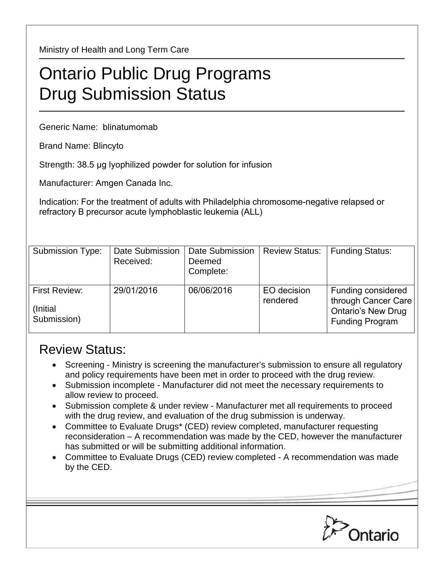Ministry of Health and Long Term Care

## Ontario Public Drug Programs Drug Submission Status

Generic Name: blinatumomab

Brand Name: Blincyto

Strength: 38.5 μg lyophilized powder for solution for infusion

Manufacturer: Amgen Canada Inc.

Indication: For the treatment of adults with Philadelphia chromosome-negative relapsed or refractory B precursor acute lymphoblastic leukemia (ALL)

| <b>Submission Type:</b>                   | Date Submission<br>Received: | Date Submission<br>Deemed<br>Complete: | <b>Review Status:</b>   | <b>Funding Status:</b>                                                                           |
|-------------------------------------------|------------------------------|----------------------------------------|-------------------------|--------------------------------------------------------------------------------------------------|
| First Review:<br>(Initial)<br>Submission) | 29/01/2016                   | 06/06/2016                             | EO decision<br>rendered | Funding considered<br>through Cancer Care<br><b>Ontario's New Drug</b><br><b>Funding Program</b> |

## Review Status:

- Screening Ministry is screening the manufacturer's submission to ensure all regulatory and policy requirements have been met in order to proceed with the drug review.
- Submission incomplete Manufacturer did not meet the necessary requirements to allow review to proceed.
- Submission complete & under review Manufacturer met all requirements to proceed with the drug review, and evaluation of the drug submission is underway.
- Committee to Evaluate Drugs\* (CED) review completed, manufacturer requesting reconsideration – A recommendation was made by the CED, however the manufacturer has submitted or will be submitting additional information.
- Committee to Evaluate Drugs (CED) review completed A recommendation was made by the CED.